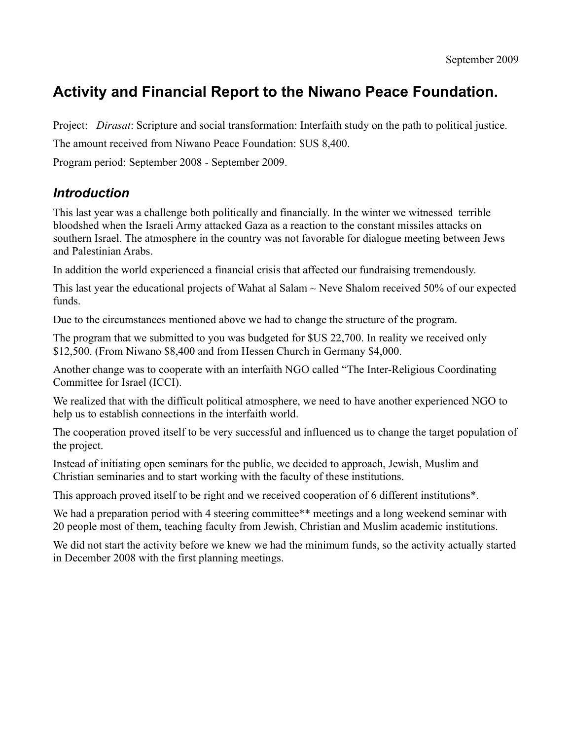# **Activity and Financial Report to the Niwano Peace Foundation.**

Project: *Dirasat*: Scripture and social transformation: Interfaith study on the path to political justice.

The amount received from Niwano Peace Foundation: \$US 8,400.

Program period: September 2008 - September 2009.

#### *Introduction*

This last year was a challenge both politically and financially. In the winter we witnessed terrible bloodshed when the Israeli Army attacked Gaza as a reaction to the constant missiles attacks on southern Israel. The atmosphere in the country was not favorable for dialogue meeting between Jews and Palestinian Arabs.

In addition the world experienced a financial crisis that affected our fundraising tremendously.

This last year the educational projects of Wahat al Salam  $\sim$  Neve Shalom received 50% of our expected funds.

Due to the circumstances mentioned above we had to change the structure of the program.

The program that we submitted to you was budgeted for \$US 22,700. In reality we received only \$12,500. (From Niwano \$8,400 and from Hessen Church in Germany \$4,000.

Another change was to cooperate with an interfaith NGO called "The Inter-Religious Coordinating Committee for Israel (ICCI).

We realized that with the difficult political atmosphere, we need to have another experienced NGO to help us to establish connections in the interfaith world.

The cooperation proved itself to be very successful and influenced us to change the target population of the project.

Instead of initiating open seminars for the public, we decided to approach, Jewish, Muslim and Christian seminaries and to start working with the faculty of these institutions.

This approach proved itself to be right and we received cooperation of 6 different institutions\*.

We had a preparation period with 4 steering committee\*\* meetings and a long weekend seminar with 20 people most of them, teaching faculty from Jewish, Christian and Muslim academic institutions.

We did not start the activity before we knew we had the minimum funds, so the activity actually started in December 2008 with the first planning meetings.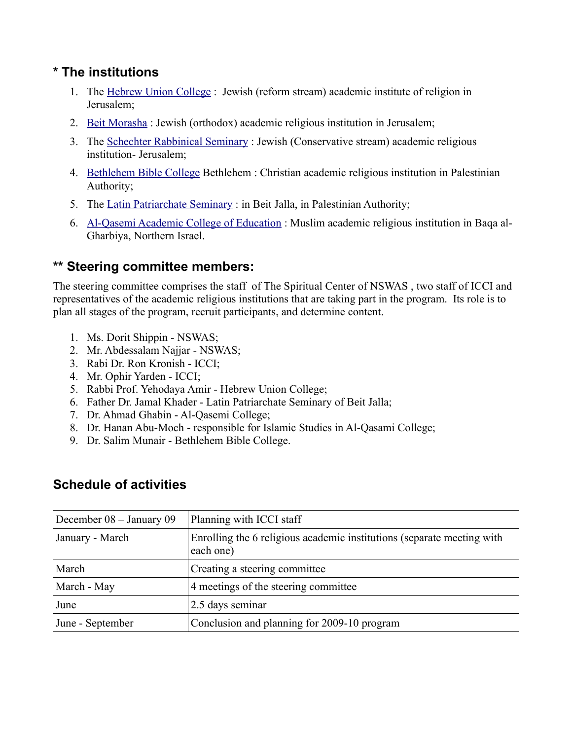### **\* The institutions**

- 1. The [Hebrew Union College](http://huc.edu/) : Jewish (reform stream) academic institute of religion in Jerusalem;
- 2. [Beit Morasha](http://www.bmj.org.il/english/Default.aspx) : Jewish (orthodox) academic religious institution in Jerusalem;
- 3. The [Schechter Rabbinical Seminary](http://www.schechter.edu/Page.aspx?ID=993608081) : Jewish (Conservative stream) academic religious institution- Jerusalem;
- 4. [Bethlehem Bible College](http://www.bethlehembiblecollege.edu/) Bethlehem : Christian academic religious institution in Palestinian Authority;
- 5. The [Latin Patriarchate Seminary](http://www.latinseminary.org/index_en.html) : in Beit Jalla, in Palestinian Authority;
- 6. [Al-Qasemi Academic College of Education](http://www.qsm.ac.il/PR/) : Muslim academic religious institution in Baqa al-Gharbiya, Northern Israel.

## **\*\* Steering committee members:**

The steering committee comprises the staff of The Spiritual Center of NSWAS , two staff of ICCI and representatives of the academic religious institutions that are taking part in the program. Its role is to plan all stages of the program, recruit participants, and determine content.

- 1. Ms. Dorit Shippin NSWAS;
- 2. Mr. Abdessalam Najjar NSWAS;
- 3. Rabi Dr. Ron Kronish ICCI;
- 4. Mr. Ophir Yarden ICCI;
- 5. Rabbi Prof. Yehodaya Amir Hebrew Union College;
- 6. Father Dr. Jamal Khader Latin Patriarchate Seminary of Beit Jalla;
- 7. Dr. Ahmad Ghabin Al-Qasemi College;
- 8. Dr. Hanan Abu-Moch responsible for Islamic Studies in Al-Qasami College;
- 9. Dr. Salim Munair Bethlehem Bible College.

### **Schedule of activities**

| December 08 - January 09 | Planning with ICCI staff                                                            |  |
|--------------------------|-------------------------------------------------------------------------------------|--|
| January - March          | Enrolling the 6 religious academic institutions (separate meeting with<br>each one) |  |
| March                    | Creating a steering committee                                                       |  |
| March - May              | 4 meetings of the steering committee                                                |  |
| June                     | 2.5 days seminar                                                                    |  |
| June - September         | Conclusion and planning for 2009-10 program                                         |  |